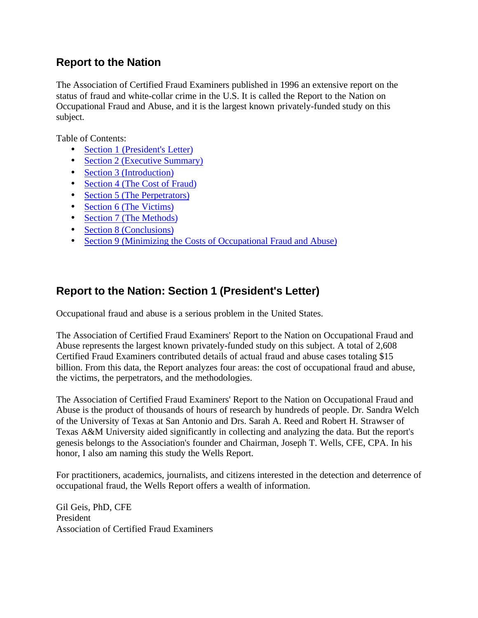## **Report to the Nation**

The Association of Certified Fraud Examiners published in 1996 an extensive report on the status of fraud and white-collar crime in the U.S. It is called the Report to the Nation on Occupational Fraud and Abuse, and it is the largest known privately-funded study on this subject.

Table of Contents:

- Section 1 (President's Letter)
- Section 2 (Executive Summary)
- Section 3 (Introduction)
- Section 4 (The Cost of Fraud)
- Section 5 (The Perpetrators)
- Section 6 (The Victims)
- Section 7 (The Methods)
- Section 8 (Conclusions)
- Section 9 (Minimizing the Costs of Occupational Fraud and Abuse)

# **Report to the Nation: Section 1 (President's Letter)**

Occupational fraud and abuse is a serious problem in the United States.

The Association of Certified Fraud Examiners' Report to the Nation on Occupational Fraud and Abuse represents the largest known privately-funded study on this subject. A total of 2,608 Certified Fraud Examiners contributed details of actual fraud and abuse cases totaling \$15 billion. From this data, the Report analyzes four areas: the cost of occupational fraud and abuse, the victims, the perpetrators, and the methodologies.

The Association of Certified Fraud Examiners' Report to the Nation on Occupational Fraud and Abuse is the product of thousands of hours of research by hundreds of people. Dr. Sandra Welch of the University of Texas at San Antonio and Drs. Sarah A. Reed and Robert H. Strawser of Texas A&M University aided significantly in collecting and analyzing the data. But the report's genesis belongs to the Association's founder and Chairman, Joseph T. Wells, CFE, CPA. In his honor, I also am naming this study the Wells Report.

For practitioners, academics, journalists, and citizens interested in the detection and deterrence of occupational fraud, the Wells Report offers a wealth of information.

Gil Geis, PhD, CFE President Association of Certified Fraud Examiners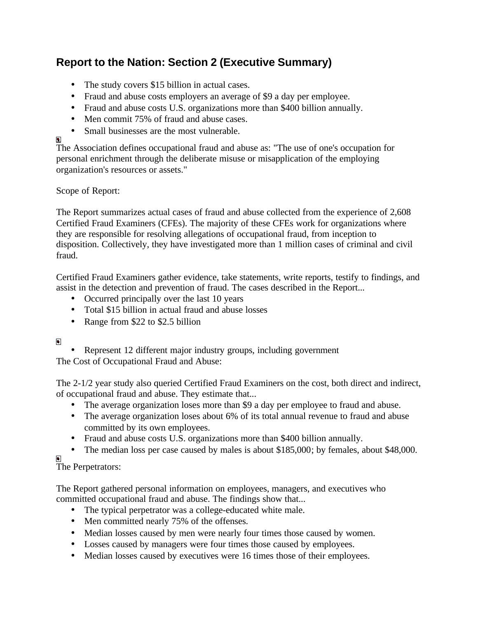# **Report to the Nation: Section 2 (Executive Summary)**

- The study covers \$15 billion in actual cases.
- Fraud and abuse costs employers an average of \$9 a day per employee.
- Fraud and abuse costs U.S. organizations more than \$400 billion annually.
- Men commit 75% of fraud and abuse cases.
- Small businesses are the most vulnerable.

## ø

The Association defines occupational fraud and abuse as: "The use of one's occupation for personal enrichment through the deliberate misuse or misapplication of the employing organization's resources or assets."

## Scope of Report:

The Report summarizes actual cases of fraud and abuse collected from the experience of 2,608 Certified Fraud Examiners (CFEs). The majority of these CFEs work for organizations where they are responsible for resolving allegations of occupational fraud, from inception to disposition. Collectively, they have investigated more than 1 million cases of criminal and civil fraud.

Certified Fraud Examiners gather evidence, take statements, write reports, testify to findings, and assist in the detection and prevention of fraud. The cases described in the Report...

- Occurred principally over the last 10 years
- Total \$15 billion in actual fraud and abuse losses
- Range from \$22 to \$2.5 billion

## ⊡

• Represent 12 different major industry groups, including government

The Cost of Occupational Fraud and Abuse:

The 2-1/2 year study also queried Certified Fraud Examiners on the cost, both direct and indirect, of occupational fraud and abuse. They estimate that...

- The average organization loses more than \$9 a day per employee to fraud and abuse.
- The average organization loses about 6% of its total annual revenue to fraud and abuse committed by its own employees.
- Fraud and abuse costs U.S. organizations more than \$400 billion annually.
- The median loss per case caused by males is about \$185,000; by females, about \$48,000.

# The Perpetrators:

The Report gathered personal information on employees, managers, and executives who committed occupational fraud and abuse. The findings show that...

- The typical perpetrator was a college-educated white male.
- Men committed nearly 75% of the offenses.
- Median losses caused by men were nearly four times those caused by women.
- Losses caused by managers were four times those caused by employees.
- Median losses caused by executives were 16 times those of their employees.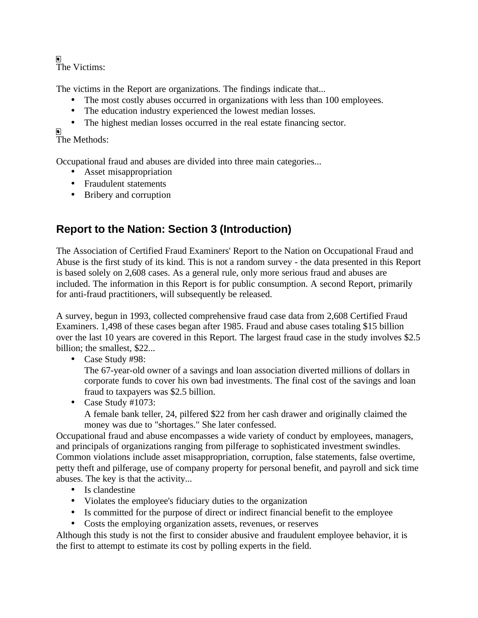The Victims:

The victims in the Report are organizations. The findings indicate that...

- The most costly abuses occurred in organizations with less than 100 employees.
- The education industry experienced the lowest median losses.
- The highest median losses occurred in the real estate financing sector.

The Methods:

Occupational fraud and abuses are divided into three main categories...

- Asset misappropriation
- Fraudulent statements
- Bribery and corruption

# **Report to the Nation: Section 3 (Introduction)**

The Association of Certified Fraud Examiners' Report to the Nation on Occupational Fraud and Abuse is the first study of its kind. This is not a random survey - the data presented in this Report is based solely on 2,608 cases. As a general rule, only more serious fraud and abuses are included. The information in this Report is for public consumption. A second Report, primarily for anti-fraud practitioners, will subsequently be released.

A survey, begun in 1993, collected comprehensive fraud case data from 2,608 Certified Fraud Examiners. 1,498 of these cases began after 1985. Fraud and abuse cases totaling \$15 billion over the last 10 years are covered in this Report. The largest fraud case in the study involves \$2.5 billion; the smallest, \$22...

• Case Study #98:

The 67-year-old owner of a savings and loan association diverted millions of dollars in corporate funds to cover his own bad investments. The final cost of the savings and loan fraud to taxpayers was \$2.5 billion.

- Case Study #1073:
	- A female bank teller, 24, pilfered \$22 from her cash drawer and originally claimed the money was due to "shortages." She later confessed.

Occupational fraud and abuse encompasses a wide variety of conduct by employees, managers, and principals of organizations ranging from pilferage to sophisticated investment swindles. Common violations include asset misappropriation, corruption, false statements, false overtime, petty theft and pilferage, use of company property for personal benefit, and payroll and sick time abuses. The key is that the activity...

- Is clandestine
- Violates the employee's fiduciary duties to the organization
- Is committed for the purpose of direct or indirect financial benefit to the employee
- Costs the employing organization assets, revenues, or reserves

Although this study is not the first to consider abusive and fraudulent employee behavior, it is the first to attempt to estimate its cost by polling experts in the field.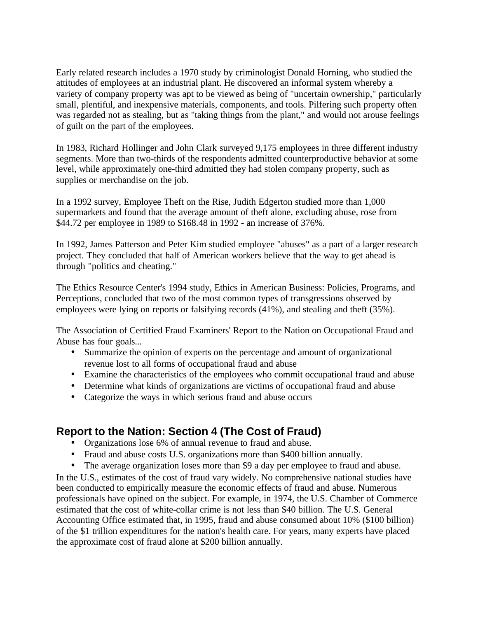Early related research includes a 1970 study by criminologist Donald Horning, who studied the attitudes of employees at an industrial plant. He discovered an informal system whereby a variety of company property was apt to be viewed as being of "uncertain ownership," particularly small, plentiful, and inexpensive materials, components, and tools. Pilfering such property often was regarded not as stealing, but as "taking things from the plant," and would not arouse feelings of guilt on the part of the employees.

In 1983, Richard Hollinger and John Clark surveyed 9,175 employees in three different industry segments. More than two-thirds of the respondents admitted counterproductive behavior at some level, while approximately one-third admitted they had stolen company property, such as supplies or merchandise on the job.

In a 1992 survey, Employee Theft on the Rise, Judith Edgerton studied more than 1,000 supermarkets and found that the average amount of theft alone, excluding abuse, rose from \$44.72 per employee in 1989 to \$168.48 in 1992 - an increase of 376%.

In 1992, James Patterson and Peter Kim studied employee "abuses" as a part of a larger research project. They concluded that half of American workers believe that the way to get ahead is through "politics and cheating."

The Ethics Resource Center's 1994 study, Ethics in American Business: Policies, Programs, and Perceptions, concluded that two of the most common types of transgressions observed by employees were lying on reports or falsifying records (41%), and stealing and theft (35%).

The Association of Certified Fraud Examiners' Report to the Nation on Occupational Fraud and Abuse has four goals...

- Summarize the opinion of experts on the percentage and amount of organizational revenue lost to all forms of occupational fraud and abuse
- Examine the characteristics of the employees who commit occupational fraud and abuse
- Determine what kinds of organizations are victims of occupational fraud and abuse
- Categorize the ways in which serious fraud and abuse occurs

## **Report to the Nation: Section 4 (The Cost of Fraud)**

- Organizations lose 6% of annual revenue to fraud and abuse.
- Fraud and abuse costs U.S. organizations more than \$400 billion annually.
- The average organization loses more than \$9 a day per employee to fraud and abuse.

In the U.S., estimates of the cost of fraud vary widely. No comprehensive national studies have been conducted to empirically measure the economic effects of fraud and abuse. Numerous professionals have opined on the subject. For example, in 1974, the U.S. Chamber of Commerce estimated that the cost of white-collar crime is not less than \$40 billion. The U.S. General Accounting Office estimated that, in 1995, fraud and abuse consumed about 10% (\$100 billion) of the \$1 trillion expenditures for the nation's health care. For years, many experts have placed the approximate cost of fraud alone at \$200 billion annually.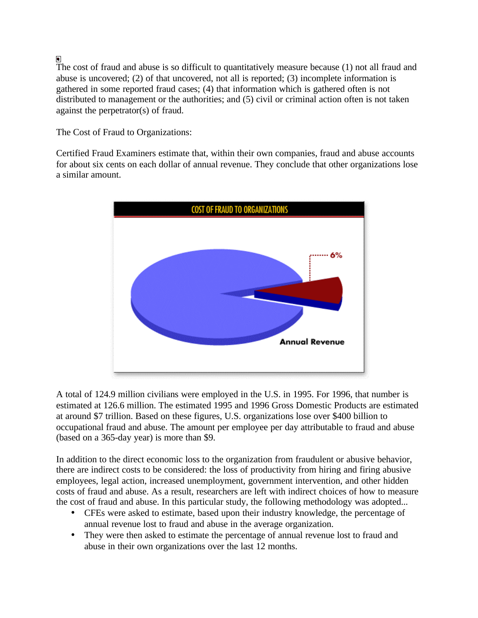The cost of fraud and abuse is so difficult to quantitatively measure because (1) not all fraud and abuse is uncovered; (2) of that uncovered, not all is reported; (3) incomplete information is gathered in some reported fraud cases; (4) that information which is gathered often is not distributed to management or the authorities; and (5) civil or criminal action often is not taken against the perpetrator(s) of fraud.

The Cost of Fraud to Organizations:

Certified Fraud Examiners estimate that, within their own companies, fraud and abuse accounts for about six cents on each dollar of annual revenue. They conclude that other organizations lose a similar amount.



A total of 124.9 million civilians were employed in the U.S. in 1995. For 1996, that number is estimated at 126.6 million. The estimated 1995 and 1996 Gross Domestic Products are estimated at around \$7 trillion. Based on these figures, U.S. organizations lose over \$400 billion to occupational fraud and abuse. The amount per employee per day attributable to fraud and abuse (based on a 365-day year) is more than \$9.

In addition to the direct economic loss to the organization from fraudulent or abusive behavior, there are indirect costs to be considered: the loss of productivity from hiring and firing abusive employees, legal action, increased unemployment, government intervention, and other hidden costs of fraud and abuse. As a result, researchers are left with indirect choices of how to measure the cost of fraud and abuse. In this particular study, the following methodology was adopted...

- CFEs were asked to estimate, based upon their industry knowledge, the percentage of annual revenue lost to fraud and abuse in the average organization.
- They were then asked to estimate the percentage of annual revenue lost to fraud and abuse in their own organizations over the last 12 months.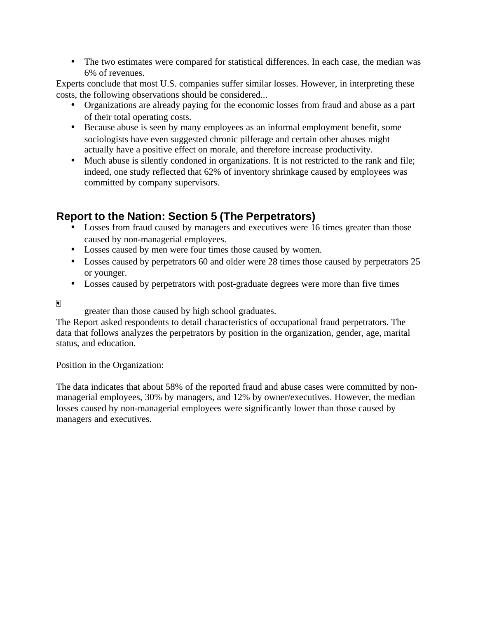• The two estimates were compared for statistical differences. In each case, the median was 6% of revenues.

Experts conclude that most U.S. companies suffer similar losses. However, in interpreting these costs, the following observations should be considered...

- Organizations are already paying for the economic losses from fraud and abuse as a part of their total operating costs.
- Because abuse is seen by many employees as an informal employment benefit, some sociologists have even suggested chronic pilferage and certain other abuses might actually have a positive effect on morale, and therefore increase productivity.
- Much abuse is silently condoned in organizations. It is not restricted to the rank and file; indeed, one study reflected that 62% of inventory shrinkage caused by employees was committed by company supervisors.

# **Report to the Nation: Section 5 (The Perpetrators)**

- Losses from fraud caused by managers and executives were 16 times greater than those caused by non-managerial employees.
- Losses caused by men were four times those caused by women.
- Losses caused by perpetrators 60 and older were 28 times those caused by perpetrators 25 or younger.
- Losses caused by perpetrators with post-graduate degrees were more than five times

 $\blacksquare$ 

greater than those caused by high school graduates.

The Report asked respondents to detail characteristics of occupational fraud perpetrators. The data that follows analyzes the perpetrators by position in the organization, gender, age, marital status, and education.

Position in the Organization:

The data indicates that about 58% of the reported fraud and abuse cases were committed by nonmanagerial employees, 30% by managers, and 12% by owner/executives. However, the median losses caused by non-managerial employees were significantly lower than those caused by managers and executives.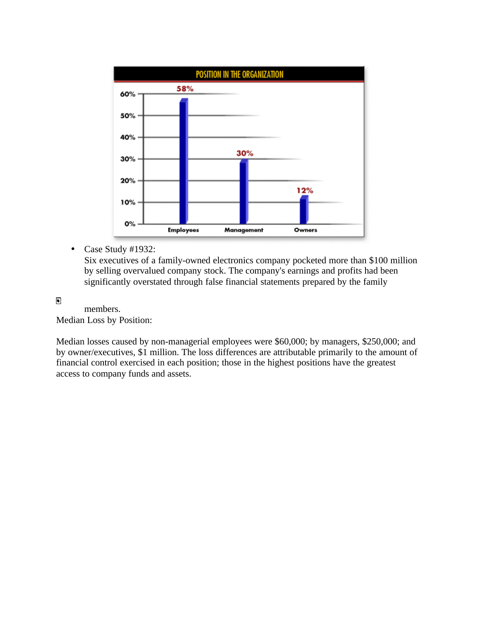

• Case Study #1932:

Six executives of a family-owned electronics company pocketed more than \$100 million by selling overvalued company stock. The company's earnings and profits had been significantly overstated through false financial statements prepared by the family

 $\blacksquare$ 

members. Median Loss by Position:

Median losses caused by non-managerial employees were \$60,000; by managers, \$250,000; and by owner/executives, \$1 million. The loss differences are attributable primarily to the amount of financial control exercised in each position; those in the highest positions have the greatest access to company funds and assets.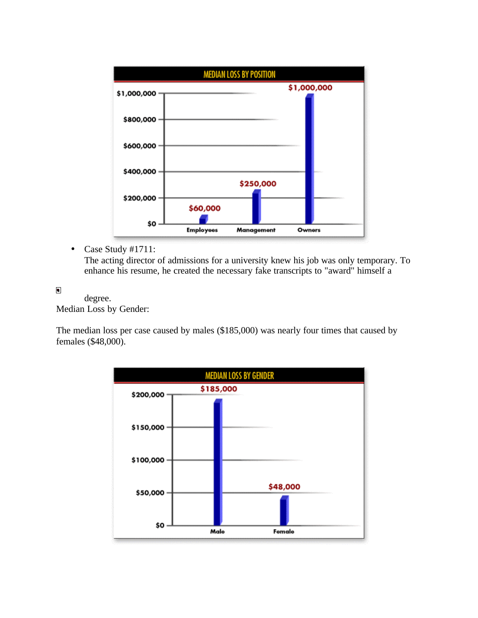

• Case Study #1711:

The acting director of admissions for a university knew his job was only temporary. To enhance his resume, he created the necessary fake transcripts to "award" himself a

 $\blacksquare$ 

degree. Median Loss by Gender:

The median loss per case caused by males (\$185,000) was nearly four times that caused by females (\$48,000).

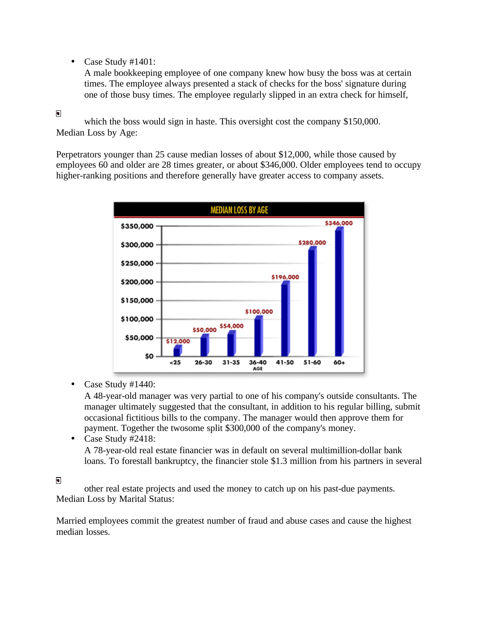• Case Study #1401:

A male bookkeeping employee of one company knew how busy the boss was at certain times. The employee always presented a stack of checks for the boss' signature during one of those busy times. The employee regularly slipped in an extra check for himself,

#### $\blacksquare$

which the boss would sign in haste. This oversight cost the company \$150,000. Median Loss by Age:

Perpetrators younger than 25 cause median losses of about \$12,000, while those caused by employees 60 and older are 28 times greater, or about \$346,000. Older employees tend to occupy higher-ranking positions and therefore generally have greater access to company assets.



• Case Study #1440:

A 48-year-old manager was very partial to one of his company's outside consultants. The manager ultimately suggested that the consultant, in addition to his regular billing, submit occasional fictitious bills to the company. The manager would then approve them for payment. Together the twosome split \$300,000 of the company's money.

• Case Study #2418: A 78-year-old real estate financier was in default on several multimillion-dollar bank loans. To forestall bankruptcy, the financier stole \$1.3 million from his partners in several

## $\blacksquare$

other real estate projects and used the money to catch up on his past-due payments. Median Loss by Marital Status:

Married employees commit the greatest number of fraud and abuse cases and cause the highest median losses.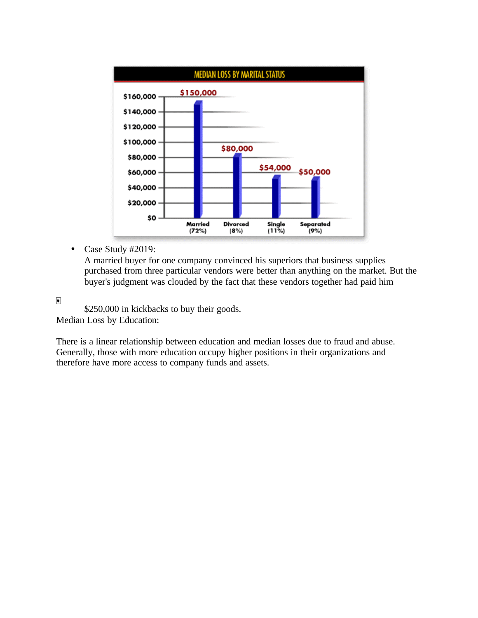

• Case Study #2019:

A married buyer for one company convinced his superiors that business supplies purchased from three particular vendors were better than anything on the market. But the buyer's judgment was clouded by the fact that these vendors together had paid him

 $\blacksquare$ 

\$250,000 in kickbacks to buy their goods. Median Loss by Education:

There is a linear relationship between education and median losses due to fraud and abuse. Generally, those with more education occupy higher positions in their organizations and therefore have more access to company funds and assets.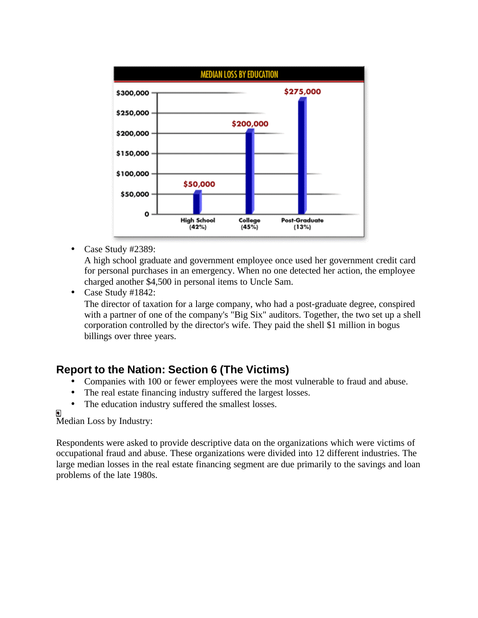

• Case Study #2389:

A high school graduate and government employee once used her government credit card for personal purchases in an emergency. When no one detected her action, the employee charged another \$4,500 in personal items to Uncle Sam.

• Case Study #1842:

The director of taxation for a large company, who had a post-graduate degree, conspired with a partner of one of the company's "Big Six" auditors. Together, the two set up a shell corporation controlled by the director's wife. They paid the shell \$1 million in bogus billings over three years.

## **Report to the Nation: Section 6 (The Victims)**

- Companies with 100 or fewer employees were the most vulnerable to fraud and abuse.
- The real estate financing industry suffered the largest losses.
- The education industry suffered the smallest losses.

▣ Median Loss by Industry:

Respondents were asked to provide descriptive data on the organizations which were victims of occupational fraud and abuse. These organizations were divided into 12 different industries. The large median losses in the real estate financing segment are due primarily to the savings and loan problems of the late 1980s.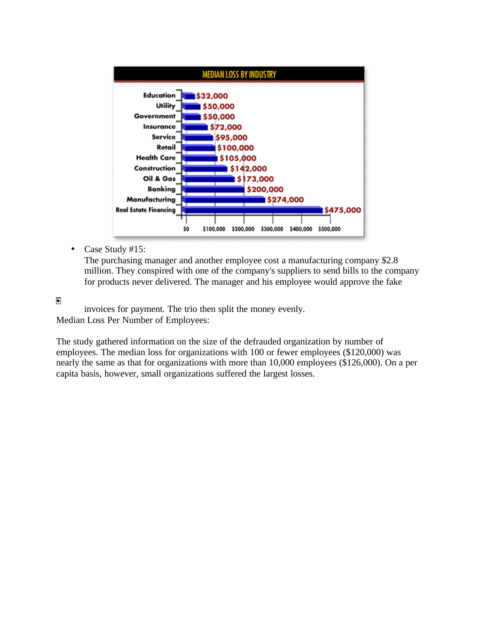

• Case Study #15:

The purchasing manager and another employee cost a manufacturing company \$2.8 million. They conspired with one of the company's suppliers to send bills to the company for products never delivered. The manager and his employee would approve the fake

 $\blacksquare$ 

invoices for payment. The trio then split the money evenly. Median Loss Per Number of Employees:

The study gathered information on the size of the defrauded organization by number of employees. The median loss for organizations with 100 or fewer employees (\$120,000) was nearly the same as that for organizations with more than 10,000 employees (\$126,000). On a per capita basis, however, small organizations suffered the largest losses.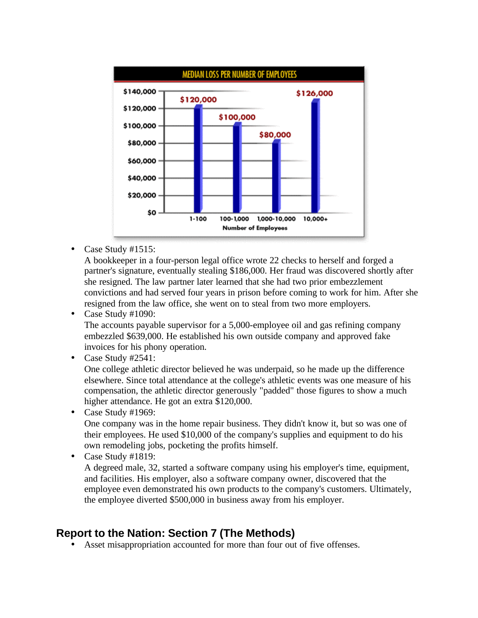

• Case Study #1515:

A bookkeeper in a four-person legal office wrote 22 checks to herself and forged a partner's signature, eventually stealing \$186,000. Her fraud was discovered shortly after she resigned. The law partner later learned that she had two prior embezzlement convictions and had served four years in prison before coming to work for him. After she resigned from the law office, she went on to steal from two more employers.

• Case Study #1090:

The accounts payable supervisor for a 5,000-employee oil and gas refining company embezzled \$639,000. He established his own outside company and approved fake invoices for his phony operation.

• Case Study #2541:

One college athletic director believed he was underpaid, so he made up the difference elsewhere. Since total attendance at the college's athletic events was one measure of his compensation, the athletic director generously "padded" those figures to show a much higher attendance. He got an extra \$120,000.

## • Case Study #1969:

One company was in the home repair business. They didn't know it, but so was one of their employees. He used \$10,000 of the company's supplies and equipment to do his own remodeling jobs, pocketing the profits himself.

• Case Study #1819:

A degreed male, 32, started a software company using his employer's time, equipment, and facilities. His employer, also a software company owner, discovered that the employee even demonstrated his own products to the company's customers. Ultimately, the employee diverted \$500,000 in business away from his employer.

## **Report to the Nation: Section 7 (The Methods)**

• Asset misappropriation accounted for more than four out of five offenses.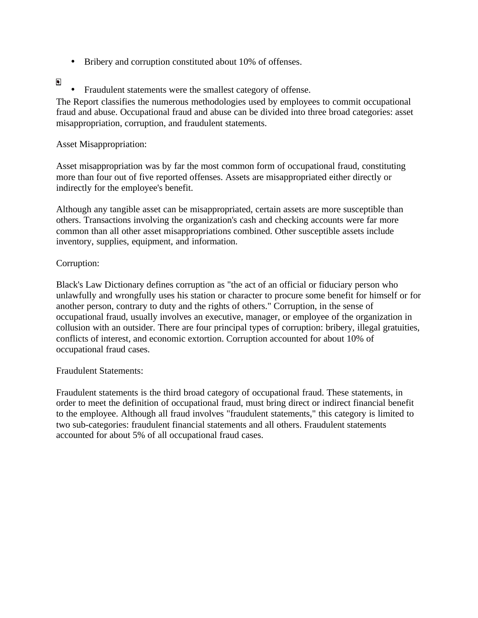• Bribery and corruption constituted about 10% of offenses.

## $\blacksquare$

• Fraudulent statements were the smallest category of offense.

The Report classifies the numerous methodologies used by employees to commit occupational fraud and abuse. Occupational fraud and abuse can be divided into three broad categories: asset misappropriation, corruption, and fraudulent statements.

## Asset Misappropriation:

Asset misappropriation was by far the most common form of occupational fraud, constituting more than four out of five reported offenses. Assets are misappropriated either directly or indirectly for the employee's benefit.

Although any tangible asset can be misappropriated, certain assets are more susceptible than others. Transactions involving the organization's cash and checking accounts were far more common than all other asset misappropriations combined. Other susceptible assets include inventory, supplies, equipment, and information.

## Corruption:

Black's Law Dictionary defines corruption as "the act of an official or fiduciary person who unlawfully and wrongfully uses his station or character to procure some benefit for himself or for another person, contrary to duty and the rights of others." Corruption, in the sense of occupational fraud, usually involves an executive, manager, or employee of the organization in collusion with an outsider. There are four principal types of corruption: bribery, illegal gratuities, conflicts of interest, and economic extortion. Corruption accounted for about 10% of occupational fraud cases.

## Fraudulent Statements:

Fraudulent statements is the third broad category of occupational fraud. These statements, in order to meet the definition of occupational fraud, must bring direct or indirect financial benefit to the employee. Although all fraud involves "fraudulent statements," this category is limited to two sub-categories: fraudulent financial statements and all others. Fraudulent statements accounted for about 5% of all occupational fraud cases.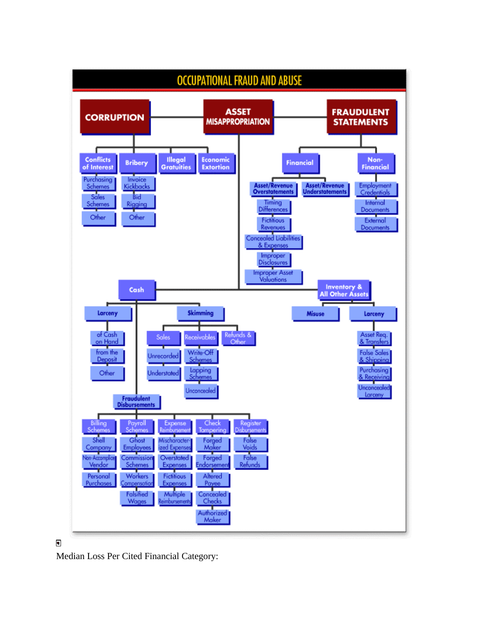

## $\blacksquare$

Median Loss Per Cited Financial Category: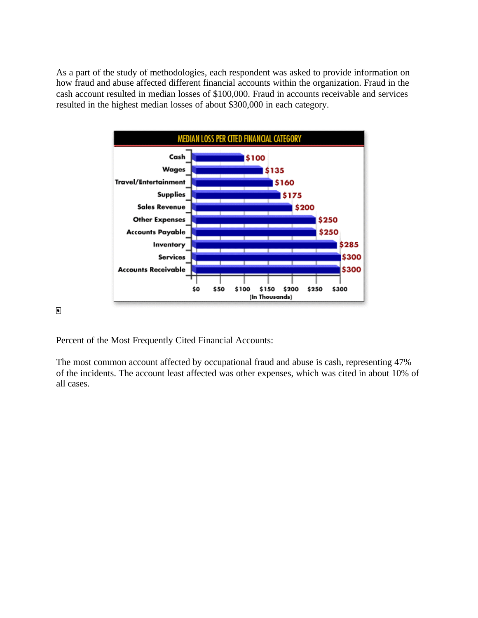As a part of the study of methodologies, each respondent was asked to provide information on how fraud and abuse affected different financial accounts within the organization. Fraud in the cash account resulted in median losses of \$100,000. Fraud in accounts receivable and services resulted in the highest median losses of about \$300,000 in each category.



 $\blacksquare$ 

Percent of the Most Frequently Cited Financial Accounts:

The most common account affected by occupational fraud and abuse is cash, representing 47% of the incidents. The account least affected was other expenses, which was cited in about 10% of all cases.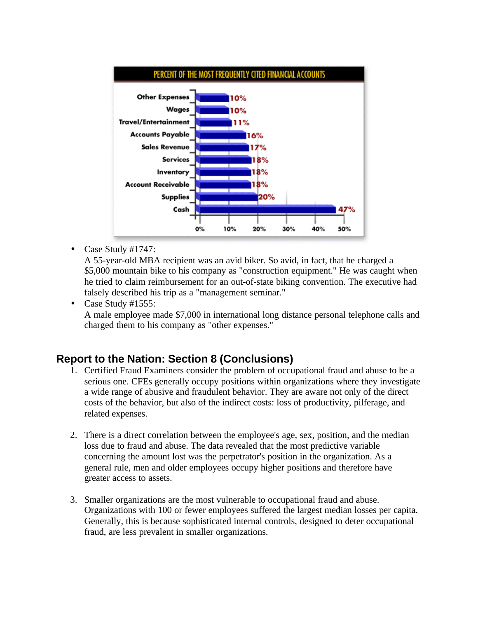

• Case Study #1747:

A 55-year-old MBA recipient was an avid biker. So avid, in fact, that he charged a \$5,000 mountain bike to his company as "construction equipment." He was caught when he tried to claim reimbursement for an out-of-state biking convention. The executive had falsely described his trip as a "management seminar."

• Case Study #1555:

A male employee made \$7,000 in international long distance personal telephone calls and charged them to his company as "other expenses."

## **Report to the Nation: Section 8 (Conclusions)**

- 1. Certified Fraud Examiners consider the problem of occupational fraud and abuse to be a serious one. CFEs generally occupy positions within organizations where they investigate a wide range of abusive and fraudulent behavior. They are aware not only of the direct costs of the behavior, but also of the indirect costs: loss of productivity, pilferage, and related expenses.
- 2. There is a direct correlation between the employee's age, sex, position, and the median loss due to fraud and abuse. The data revealed that the most predictive variable concerning the amount lost was the perpetrator's position in the organization. As a general rule, men and older employees occupy higher positions and therefore have greater access to assets.
- 3. Smaller organizations are the most vulnerable to occupational fraud and abuse. Organizations with 100 or fewer employees suffered the largest median losses per capita. Generally, this is because sophisticated internal controls, designed to deter occupational fraud, are less prevalent in smaller organizations.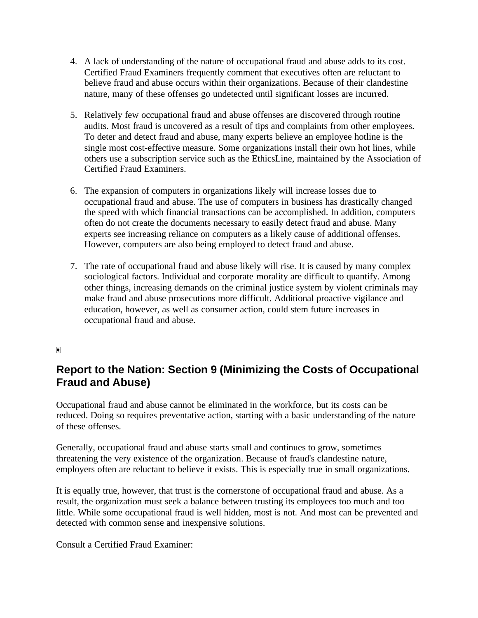- 4. A lack of understanding of the nature of occupational fraud and abuse adds to its cost. Certified Fraud Examiners frequently comment that executives often are reluctant to believe fraud and abuse occurs within their organizations. Because of their clandestine nature, many of these offenses go undetected until significant losses are incurred.
- 5. Relatively few occupational fraud and abuse offenses are discovered through routine audits. Most fraud is uncovered as a result of tips and complaints from other employees. To deter and detect fraud and abuse, many experts believe an employee hotline is the single most cost-effective measure. Some organizations install their own hot lines, while others use a subscription service such as the EthicsLine, maintained by the Association of Certified Fraud Examiners.
- 6. The expansion of computers in organizations likely will increase losses due to occupational fraud and abuse. The use of computers in business has drastically changed the speed with which financial transactions can be accomplished. In addition, computers often do not create the documents necessary to easily detect fraud and abuse. Many experts see increasing reliance on computers as a likely cause of additional offenses. However, computers are also being employed to detect fraud and abuse.
- 7. The rate of occupational fraud and abuse likely will rise. It is caused by many complex sociological factors. Individual and corporate morality are difficult to quantify. Among other things, increasing demands on the criminal justice system by violent criminals may make fraud and abuse prosecutions more difficult. Additional proactive vigilance and education, however, as well as consumer action, could stem future increases in occupational fraud and abuse.

## $\blacksquare$

# **Report to the Nation: Section 9 (Minimizing the Costs of Occupational Fraud and Abuse)**

Occupational fraud and abuse cannot be eliminated in the workforce, but its costs can be reduced. Doing so requires preventative action, starting with a basic understanding of the nature of these offenses.

Generally, occupational fraud and abuse starts small and continues to grow, sometimes threatening the very existence of the organization. Because of fraud's clandestine nature, employers often are reluctant to believe it exists. This is especially true in small organizations.

It is equally true, however, that trust is the cornerstone of occupational fraud and abuse. As a result, the organization must seek a balance between trusting its employees too much and too little. While some occupational fraud is well hidden, most is not. And most can be prevented and detected with common sense and inexpensive solutions.

Consult a Certified Fraud Examiner: